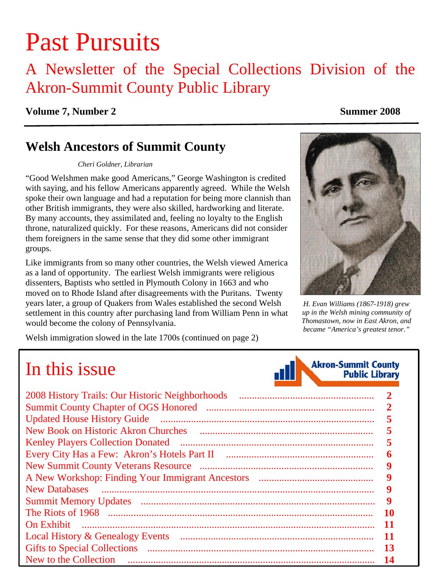# Past Pursuits

### A Newsletter of the Special Collections Division of the Akron-Summit County Public Library

#### **Volume 7, Number 2** Summer 2008

### **Welsh Ancestors of Summit County**

#### *Cheri Goldner, Librarian*

"Good Welshmen make good Americans," George Washington is credited with saying, and his fellow Americans apparently agreed. While the Welsh spoke their own language and had a reputation for being more clannish than other British immigrants, they were also skilled, hardworking and literate. By many accounts, they assimilated and, feeling no loyalty to the English throne, naturalized quickly. For these reasons, Americans did not consider them foreigners in the same sense that they did some other immigrant groups.

Like immigrants from so many other countries, the Welsh viewed America as a land of opportunity. The earliest Welsh immigrants were religious dissenters, Baptists who settled in Plymouth Colony in 1663 and who moved on to Rhode Island after disagreements with the Puritans. Twenty years later, a group of Quakers from Wales established the second Welsh *H. Evan Williams (1867-1918) grew*  settlement in this country after purchasing land from William Penn in what would become the colony of Pennsylvania.

Welsh immigration slowed in the late 1700s [\(continued on page 2\)](#page-1-0) 



*up in the Welsh mining community of Thomastown, now in East Akron, and became "America's greatest tenor."*

## In this issue

| n i II | <b>Akron-Summit County</b><br><b>Public Library</b> |
|--------|-----------------------------------------------------|
|        |                                                     |

| 2008 History Trails: Our Historic Neighborhoods |    |  |
|-------------------------------------------------|----|--|
|                                                 |    |  |
|                                                 |    |  |
| <b>New Book on Historic Akron Churches</b>      |    |  |
| <b>Kenley Players Collection Donated</b>        |    |  |
|                                                 |    |  |
|                                                 |    |  |
|                                                 |    |  |
| <b>New Databases</b>                            |    |  |
|                                                 |    |  |
|                                                 | 10 |  |
| <b>On Exhibit</b>                               |    |  |
|                                                 | 11 |  |
| <b>Gifts to Special Collections</b>             | 13 |  |
| New to the Collection                           | 14 |  |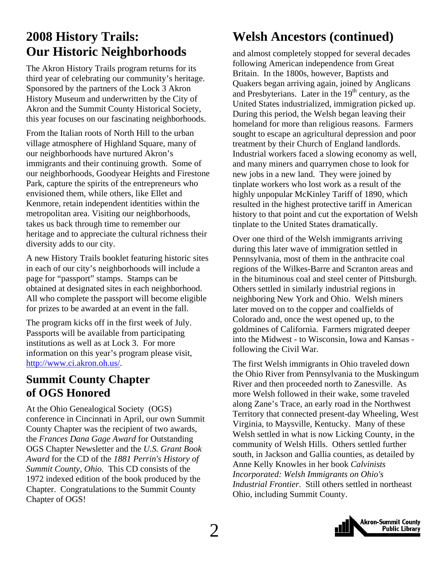### <span id="page-1-0"></span>**2008 History Trails: Our Historic Neighborhoods**

The Akron History Trails program returns for its third year of celebrating our community's heritage. Sponsored by the partners of the Lock 3 Akron History Museum and underwritten by the City of Akron and the Summit County Historical Society, this year focuses on our fascinating neighborhoods.

From the Italian roots of North Hill to the urban village atmosphere of Highland Square, many of our neighborhoods have nurtured Akron's immigrants and their continuing growth. Some of our neighborhoods, Goodyear Heights and Firestone Park, capture the spirits of the entrepreneurs who envisioned them, while others, like Ellet and Kenmore, retain independent identities within the metropolitan area. Visiting our neighborhoods, takes us back through time to remember our heritage and to appreciate the cultural richness their diversity adds to our city.

A new History Trails booklet featuring historic sites in each of our city's neighborhoods will include a page for "passport" stamps. Stamps can be obtained at designated sites in each neighborhood. All who complete the passport will become eligible for prizes to be awarded at an event in the fall.

The program kicks off in the first week of July. Passports will be available from participating institutions as well as at Lock 3. For more information on this year's program please visit, [http://www.ci.akron.oh.us/.](http://www.ci.akron.oh.us/)

### **Summit County Chapter of OGS Honored**

At the Ohio Genealogical Society (OGS) conference in Cincinnati in April, our own Summit County Chapter was the recipient of two awards, the *Frances Dana Gage Award* for Outstanding OGS Chapter Newsletter and the *U.S. Grant Book Award* for the CD of the *1881 Perrin's History of Summit County, Ohio.* This CD consists of the 1972 indexed edition of the book produced by the Chapter. Congratulations to the Summit County Chapter of OGS!

### **Welsh Ancestors (continued)**

and almost completely stopped for several decades following American independence from Great Britain. In the 1800s, however, Baptists and Quakers began arriving again, joined by Anglicans and Presbyterians. Later in the  $19<sup>th</sup>$  century, as the United States industrialized, immigration picked up. During this period, the Welsh began leaving their homeland for more than religious reasons. Farmers sought to escape an agricultural depression and poor treatment by their Church of England landlords. Industrial workers faced a slowing economy as well, and many miners and quarrymen chose to look for new jobs in a new land. They were joined by tinplate workers who lost work as a result of the highly unpopular McKinley Tariff of 1890, which resulted in the highest protective tariff in American history to that point and cut the exportation of Welsh tinplate to the United States dramatically.

Over one third of the Welsh immigrants arriving during this later wave of immigration settled in Pennsylvania, most of them in the anthracite coal regions of the Wilkes-Barre and Scranton areas and in the bituminous coal and steel center of Pittsburgh. Others settled in similarly industrial regions in neighboring New York and Ohio. Welsh miners later moved on to the copper and coalfields of Colorado and, once the west opened up, to the goldmines of California. Farmers migrated deeper into the Midwest - to Wisconsin, Iowa and Kansas following the Civil War.

The first Welsh immigrants in Ohio traveled down the Ohio River from Pennsylvania to the Muskingum River and then proceeded north to Zanesville. As more Welsh followed in their wake, some traveled along Zane's Trace, an early road in the Northwest Territory that connected present-day Wheeling, West Virginia, to Maysville, Kentucky. Many of these Welsh settled in what is now Licking County, in the community of Welsh Hills. Others settled further south, in Jackson and Gallia counties, as detailed by Anne Kelly Knowles in her book *Calvinists Incorporated: Welsh Immigrants on Ohio's Industrial Frontier*. Still others settled in northeast Ohio, including Summit County.

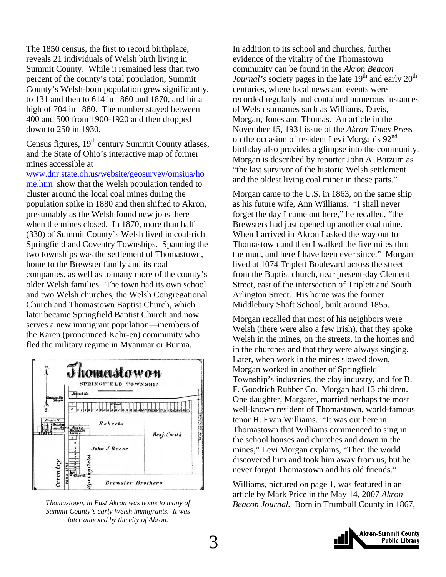<span id="page-2-0"></span>The 1850 census, the first to record birthplace, reveals 21 individuals of Welsh birth living in Summit County. While it remained less than two percent of the county's total population, Summit County's Welsh-born population grew significantly, to 131 and then to 614 in 1860 and 1870, and hit a high of 704 in 1880. The number stayed between 400 and 500 from 1900-1920 and then dropped down to 250 in 1930.

Census figures,  $19<sup>th</sup>$  century Summit County atlases, and the State of Ohio's interactive map of former mines accessible at

[www.dnr.state.oh.us/website/geosurvey/omsiua/ho](http://www.dnr.state.oh.us/website/geosurvey/omsiua/home.htm) [me.htm](http://www.dnr.state.oh.us/website/geosurvey/omsiua/home.htm) show that the Welsh population tended to cluster around the local coal mines during the population spike in 1880 and then shifted to Akron, presumably as the Welsh found new jobs there when the mines closed. In 1870, more than half (330) of Summit County's Welsh lived in coal-rich Springfield and Coventry Townships. Spanning the two townships was the settlement of Thomastown, home to the Brewster family and its coal companies, as well as to many more of the county's older Welsh families. The town had its own school and two Welsh churches, the Welsh Congregational Church and Thomastown Baptist Church, which later became Springfield Baptist Church and now serves a new immigrant population—members of the Karen (pronounced Kahr-en) community who fled the military regime in Myanmar or Burma.



*Thomastown, in East Akron was home to many of Beacon Journal.* Born in Trumbull County in 1867, *Summit County's early Welsh immigrants. It was later annexed by the city of Akron.* 

In addition to its school and churches, further evidence of the vitality of the Thomastown community can be found in the *Akron Beacon Journal's* society pages in the late 19<sup>th</sup> and early 20<sup>th</sup> centuries, where local news and events were recorded regularly and contained numerous instances of Welsh surnames such as Williams, Davis, Morgan, Jones and Thomas. An article in the November 15, 1931 issue of the *Akron Times Press* on the occasion of resident Levi Morgan's 92<sup>nd</sup> birthday also provides a glimpse into the community. Morgan is described by reporter John A. Botzum as "the last survivor of the historic Welsh settlement and the oldest living coal miner in these parts."

Morgan came to the U.S. in 1863, on the same ship as his future wife, Ann Williams. "I shall never forget the day I came out here," he recalled, "the Brewsters had just opened up another coal mine. When I arrived in Akron I asked the way out to Thomastown and then I walked the five miles thru the mud, and here I have been ever since." Morgan lived at 1074 Triplett Boulevard across the street from the Baptist church, near present-day Clement Street, east of the intersection of Triplett and South Arlington Street. His home was the former Middlebury Shaft School, built around 1855.

Morgan recalled that most of his neighbors were Welsh (there were also a few Irish), that they spoke Welsh in the mines, on the streets, in the homes and in the churches and that they were always singing. Later, when work in the mines slowed down, Morgan worked in another of Springfield Township's industries, the clay industry, and for B. F. Goodrich Rubber Co. Morgan had 13 children. One daughter, Margaret, married perhaps the most well-known resident of Thomastown, world-famous tenor H. Evan Williams. "It was out here in Thomastown that Williams commenced to sing in the school houses and churches and down in the mines," Levi Morgan explains, "Then the world discovered him and took him away from us, but he never forgot Thomastown and his old friends."

Williams, pictured on page 1, was featured in an article by Mark Price in the May 14, 2007 *Akron* 

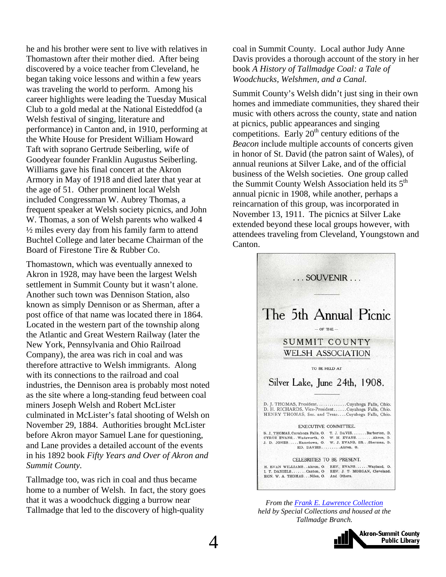he and his brother were sent to live with relatives in Thomastown after their mother died. After being discovered by a voice teacher from Cleveland, he began taking voice lessons and within a few years was traveling the world to perform. Among his career highlights were leading the Tuesday Musical Club to a gold medal at the National Eisteddfod (a Welsh festival of singing, literature and performance) in Canton and, in 1910, performing at the White House for President William Howard Taft with soprano Gertrude Seiberling, wife of Goodyear founder Franklin Augustus Seiberling. Williams gave his final concert at the Akron Armory in May of 1918 and died later that year at the age of 51. Other prominent local Welsh included Congressman W. Aubrey Thomas, a frequent speaker at Welsh society picnics, and John W. Thomas, a son of Welsh parents who walked 4 ½ miles every day from his family farm to attend Buchtel College and later became Chairman of the Board of Firestone Tire & Rubber Co.

Thomastown, which was eventually annexed to Akron in 1928, may have been the largest Welsh settlement in Summit County but it wasn't alone. Another such town was Dennison Station, also known as simply Dennison or as Sherman, after a post office of that name was located there in 1864. Located in the western part of the township along the Atlantic and Great Western Railway (later the New York, Pennsylvania and Ohio Railroad Company), the area was rich in coal and was therefore attractive to Welsh immigrants. Along with its connections to the railroad and coal industries, the Dennison area is probably most noted as the site where a long-standing feud between coal miners Joseph Welsh and Robert McLister culminated in McLister's fatal shooting of Welsh on November 29, 1884. Authorities brought McLister before Akron mayor Samuel Lane for questioning, and Lane provides a detailed account of the events in his 1892 book *Fifty Years and Over of Akron and Summit County.*

Tallmadge too, was rich in coal and thus became home to a number of Welsh. In fact, the story goes that it was a woodchuck digging a burrow near Tallmadge that led to the discovery of high-quality

coal in Summit County. Local author Judy Anne Davis provides a thorough account of the story in her book *A History of Tallmadge Coal: a Tale of Woodchucks, Welshmen, and a Canal.*

Summit County's Welsh didn't just sing in their own homes and immediate communities, they shared their music with others across the county, state and nation at picnics, public appearances and singing competitions. Early  $20<sup>th</sup>$  century editions of the *Beacon* include multiple accounts of concerts given in honor of St. David (the patron saint of Wales), of annual reunions at Silver Lake, and of the official business of the Welsh societies. One group called the Summit County Welsh Association held its  $5<sup>th</sup>$ annual picnic in 1908, while another, perhaps a reincarnation of this group, was incorporated in November 13, 1911. The picnics at Silver Lake extended beyond these local groups however, with attendees traveling from Cleveland, Youngstown and Canton.



*From the [Frank E. Lawrence Collection](http://www.akronlibrary.org/internetresources/sc/finding/lawrencefindaid.pdf) held by Special Collections and housed at the Tallmadge Branch.* 

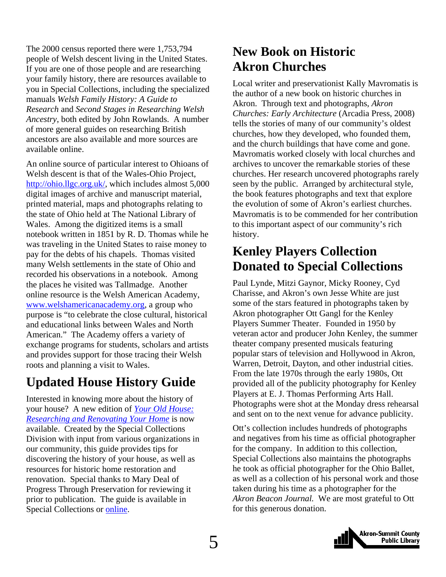<span id="page-4-0"></span>The 2000 census reported there were 1,753,794 people of Welsh descent living in the United States. If you are one of those people and are researching your family history, there are resources available to you in Special Collections, including the specialized manuals *Welsh Family History: A Guide to Research* and *Second Stages in Researching Welsh Ancestry*, both edited by John Rowlands. A number of more general guides on researching British ancestors are also available and more sources are available online.

An online source of particular interest to Ohioans of Welsh descent is that of the Wales-Ohio Project, <http://ohio.llgc.org.uk/>, which includes almost 5,000 digital images of archive and manuscript material, printed material, maps and photographs relating to the state of Ohio held at The National Library of Wales. Among the digitized items is a small notebook written in 1851 by R. D. Thomas while he was traveling in the United States to raise money to pay for the debts of his chapels. Thomas visited many Welsh settlements in the state of Ohio and recorded his observations in a notebook. Among the places he visited was Tallmadge. Another online resource is the Welsh American Academy, [www.welshamericanacademy.org,](http://www.welshamericanacademy.org/) a group who purpose is "to celebrate the close cultural, historical and educational links between Wales and North American." The Academy offers a variety of exchange programs for students, scholars and artists and provides support for those tracing their Welsh roots and planning a visit to Wales.

### **Updated House History Guide**

Interested in knowing more about the history of your house? A new edition of *[Your Old House:](http://www.akronlibrary.org/internetresources/sc/pathfinders/househistories.pdf)  [Researching and Renovating Your Home](http://www.akronlibrary.org/internetresources/sc/pathfinders/househistories.pdf)* is now available. Created by the Special Collections Division with input from various organizations in our community, this guide provides tips for discovering the history of your house, as well as resources for historic home restoration and renovation. Special thanks to Mary Deal of Progress Through Preservation for reviewing it prior to publication. The guide is available in Special Collections or [online.](http://www.akronlibrary.org/internetresources/sc/pathfinders/househistories.pdf)

### **New Book on Historic Akron Churches**

Local writer and preservationist Kally Mavromatis is the author of a new book on historic churches in Akron. Through text and photographs, *Akron Churches: Early Architecture* (Arcadia Press, 2008) tells the stories of many of our community's oldest churches, how they developed, who founded them, and the church buildings that have come and gone. Mavromatis worked closely with local churches and archives to uncover the remarkable stories of these churches. Her research uncovered photographs rarely seen by the public. Arranged by architectural style, the book features photographs and text that explore the evolution of some of Akron's earliest churches. Mavromatis is to be commended for her contribution to this important aspect of our community's rich history.

### **Kenley Players Collection Donated to Special Collections**

Paul Lynde, Mitzi Gaynor, Micky Rooney, Cyd Charisse, and Akron's own Jesse White are just some of the stars featured in photographs taken by Akron photographer Ott Gangl for the Kenley Players Summer Theater. Founded in 1950 by veteran actor and producer John Kenley, the summer theater company presented musicals featuring popular stars of television and Hollywood in Akron, Warren, Detroit, Dayton, and other industrial cities. From the late 1970s through the early 1980s, Ott provided all of the publicity photography for Kenley Players at E. J. Thomas Performing Arts Hall. Photographs were shot at the Monday dress rehearsal and sent on to the next venue for advance publicity.

Ott's collection includes hundreds of photographs and negatives from his time as official photographer for the company. In addition to this collection, Special Collections also maintains the photographs he took as official photographer for the Ohio Ballet, as well as a collection of his personal work and those taken during his time as a photographer for the *Akron Beacon Journal.* We are most grateful to Ott for this generous donation.

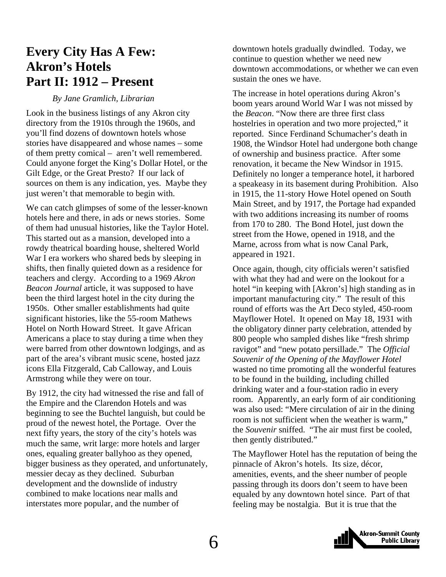### <span id="page-5-0"></span>**Every City Has A Few: Akron's Hotels Part II: 1912 – Present**

#### *By Jane Gramlich, Librarian*

Look in the business listings of any Akron city directory from the 1910s through the 1960s, and you'll find dozens of downtown hotels whose stories have disappeared and whose names – some of them pretty comical – aren't well remembered. Could anyone forget the King's Dollar Hotel, or the Gilt Edge, or the Great Presto? If our lack of sources on them is any indication, yes. Maybe they just weren't that memorable to begin with.

We can catch glimpses of some of the lesser-known hotels here and there, in ads or news stories. Some of them had unusual histories, like the Taylor Hotel. This started out as a mansion, developed into a rowdy theatrical boarding house, sheltered World War I era workers who shared beds by sleeping in shifts, then finally quieted down as a residence for teachers and clergy. According to a 1969 *Akron Beacon Journal* article, it was supposed to have been the third largest hotel in the city during the 1950s. Other smaller establishments had quite significant histories, like the 55-room Mathews Hotel on North Howard Street. It gave African Americans a place to stay during a time when they were barred from other downtown lodgings, and as part of the area's vibrant music scene, hosted jazz icons Ella Fitzgerald, Cab Calloway, and Louis Armstrong while they were on tour.

By 1912, the city had witnessed the rise and fall of the Empire and the Clarendon Hotels and was beginning to see the Buchtel languish, but could be proud of the newest hotel, the Portage. Over the next fifty years, the story of the city's hotels was much the same, writ large: more hotels and larger ones, equaling greater ballyhoo as they opened, bigger business as they operated, and unfortunately, messier decay as they declined. Suburban development and the downslide of industry combined to make locations near malls and interstates more popular, and the number of

downtown hotels gradually dwindled. Today, we continue to question whether we need new downtown accommodations, or whether we can even sustain the ones we have.

The increase in hotel operations during Akron's boom years around World War I was not missed by the *Beacon*. "Now there are three first class hostelries in operation and two more projected," it reported. Since Ferdinand Schumacher's death in 1908, the Windsor Hotel had undergone both change of ownership and business practice. After some renovation, it became the New Windsor in 1915. Definitely no longer a temperance hotel, it harbored a speakeasy in its basement during Prohibition. Also in 1915, the 11-story Howe Hotel opened on South Main Street, and by 1917, the Portage had expanded with two additions increasing its number of rooms from 170 to 280. The Bond Hotel, just down the street from the Howe, opened in 1918, and the Marne, across from what is now Canal Park, appeared in 1921.

Once again, though, city officials weren't satisfied with what they had and were on the lookout for a hotel "in keeping with [Akron's] high standing as in important manufacturing city." The result of this round of efforts was the Art Deco styled, 450-room Mayflower Hotel. It opened on May 18, 1931 with the obligatory dinner party celebration, attended by 800 people who sampled dishes like "fresh shrimp ravigot" and "new potato persillade." The *Official Souvenir of the Opening of the Mayflower Hotel* wasted no time promoting all the wonderful features to be found in the building, including chilled drinking water and a four-station radio in every room. Apparently, an early form of air conditioning was also used: "Mere circulation of air in the dining room is not sufficient when the weather is warm," the *Souvenir* sniffed. "The air must first be cooled, then gently distributed."

The Mayflower Hotel has the reputation of being the pinnacle of Akron's hotels. Its size, décor, amenities, events, and the sheer number of people passing through its doors don't seem to have been equaled by any downtown hotel since. Part of that feeling may be nostalgia. But it is true that the

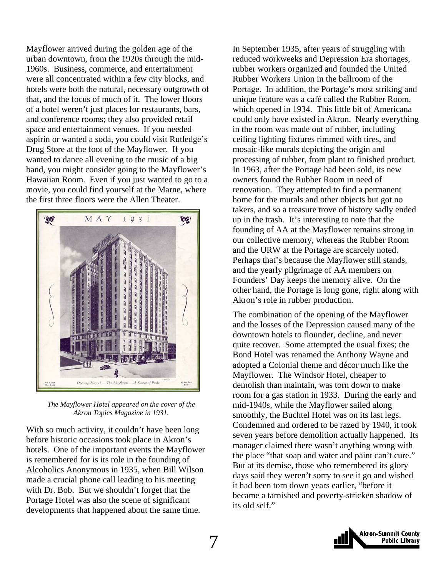Mayflower arrived during the golden age of the urban downtown, from the 1920s through the mid-1960s. Business, commerce, and entertainment were all concentrated within a few city blocks, and hotels were both the natural, necessary outgrowth of that, and the focus of much of it. The lower floors of a hotel weren't just places for restaurants, bars, and conference rooms; they also provided retail space and entertainment venues. If you needed aspirin or wanted a soda, you could visit Rutledge's Drug Store at the foot of the Mayflower. If you wanted to dance all evening to the music of a big band, you might consider going to the Mayflower's Hawaiian Room. Even if you just wanted to go to a movie, you could find yourself at the Marne, where the first three floors were the Allen Theater.



*The Mayflower Hotel appeared on the cover of the Akron Topics Magazine in 1931.* 

With so much activity, it couldn't have been long before historic occasions took place in Akron's hotels. One of the important events the Mayflower is remembered for is its role in the founding of Alcoholics Anonymous in 1935, when Bill Wilson made a crucial phone call leading to his meeting with Dr. Bob. But we shouldn't forget that the Portage Hotel was also the scene of significant developments that happened about the same time.

In September 1935, after years of struggling with reduced workweeks and Depression Era shortages, rubber workers organized and founded the United Rubber Workers Union in the ballroom of the Portage. In addition, the Portage's most striking and unique feature was a café called the Rubber Room, which opened in 1934. This little bit of Americana could only have existed in Akron. Nearly everything in the room was made out of rubber, including ceiling lighting fixtures rimmed with tires, and mosaic-like murals depicting the origin and processing of rubber, from plant to finished product. In 1963, after the Portage had been sold, its new owners found the Rubber Room in need of renovation. They attempted to find a permanent home for the murals and other objects but got no takers, and so a treasure trove of history sadly ended up in the trash. It's interesting to note that the founding of AA at the Mayflower remains strong in our collective memory, whereas the Rubber Room and the URW at the Portage are scarcely noted. Perhaps that's because the Mayflower still stands, and the yearly pilgrimage of AA members on Founders' Day keeps the memory alive. On the other hand, the Portage is long gone, right along with Akron's role in rubber production.

The combination of the opening of the Mayflower and the losses of the Depression caused many of the downtown hotels to flounder, decline, and never quite recover. Some attempted the usual fixes; the Bond Hotel was renamed the Anthony Wayne and adopted a Colonial theme and décor much like the Mayflower. The Windsor Hotel, cheaper to demolish than maintain, was torn down to make room for a gas station in 1933. During the early and mid-1940s, while the Mayflower sailed along smoothly, the Buchtel Hotel was on its last legs. Condemned and ordered to be razed by 1940, it took seven years before demolition actually happened. Its manager claimed there wasn't anything wrong with the place "that soap and water and paint can't cure." But at its demise, those who remembered its glory days said they weren't sorry to see it go and wished it had been torn down years earlier, "before it became a tarnished and poverty-stricken shadow of its old self."

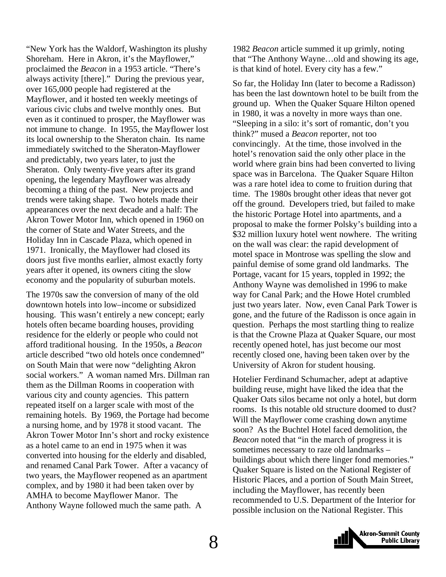"New York has the Waldorf, Washington its plushy Shoreham. Here in Akron, it's the Mayflower," proclaimed the *Beacon* in a 1953 article. "There's always activity [there]." During the previous year, over 165,000 people had registered at the Mayflower, and it hosted ten weekly meetings of various civic clubs and twelve monthly ones. But even as it continued to prosper, the Mayflower was not immune to change. In 1955, the Mayflower lost its local ownership to the Sheraton chain. Its name immediately switched to the Sheraton-Mayflower and predictably, two years later, to just the Sheraton. Only twenty-five years after its grand opening, the legendary Mayflower was already becoming a thing of the past. New projects and trends were taking shape. Two hotels made their appearances over the next decade and a half: The Akron Tower Motor Inn, which opened in 1960 on the corner of State and Water Streets, and the Holiday Inn in Cascade Plaza, which opened in 1971. Ironically, the Mayflower had closed its doors just five months earlier, almost exactly forty years after it opened, its owners citing the slow economy and the popularity of suburban motels.

The 1970s saw the conversion of many of the old downtown hotels into low–income or subsidized housing. This wasn't entirely a new concept; early hotels often became boarding houses, providing residence for the elderly or people who could not afford traditional housing. In the 1950s, a *Beacon*  article described "two old hotels once condemned" on South Main that were now "delighting Akron social workers." A woman named Mrs. Dillman ran them as the Dillman Rooms in cooperation with various city and county agencies. This pattern repeated itself on a larger scale with most of the remaining hotels. By 1969, the Portage had become a nursing home, and by 1978 it stood vacant. The Akron Tower Motor Inn's short and rocky existence as a hotel came to an end in 1975 when it was converted into housing for the elderly and disabled, and renamed Canal Park Tower. After a vacancy of two years, the Mayflower reopened as an apartment complex, and by 1980 it had been taken over by AMHA to become Mayflower Manor. The Anthony Wayne followed much the same path. A

1982 *Beacon* article summed it up grimly, noting that "The Anthony Wayne…old and showing its age, is that kind of hotel. Every city has a few."

So far, the Holiday Inn (later to become a Radisson) has been the last downtown hotel to be built from the ground up. When the Quaker Square Hilton opened in 1980, it was a novelty in more ways than one. "Sleeping in a silo: it's sort of romantic, don't you think?" mused a *Beacon* reporter, not too convincingly. At the time, those involved in the hotel's renovation said the only other place in the world where grain bins had been converted to living space was in Barcelona. The Quaker Square Hilton was a rare hotel idea to come to fruition during that time. The 1980s brought other ideas that never got off the ground. Developers tried, but failed to make the historic Portage Hotel into apartments, and a proposal to make the former Polsky's building into a \$32 million luxury hotel went nowhere. The writing on the wall was clear: the rapid development of motel space in Montrose was spelling the slow and painful demise of some grand old landmarks. The Portage, vacant for 15 years, toppled in 1992; the Anthony Wayne was demolished in 1996 to make way for Canal Park; and the Howe Hotel crumbled just two years later. Now, even Canal Park Tower is gone, and the future of the Radisson is once again in question. Perhaps the most startling thing to realize is that the Crowne Plaza at Quaker Square, our most recently opened hotel, has just become our most recently closed one, having been taken over by the University of Akron for student housing.

Hotelier Ferdinand Schumacher, adept at adaptive building reuse, might have liked the idea that the Quaker Oats silos became not only a hotel, but dorm rooms. Is this notable old structure doomed to dust? Will the Mayflower come crashing down anytime soon? As the Buchtel Hotel faced demolition, the *Beacon* noted that "in the march of progress it is sometimes necessary to raze old landmarks – buildings about which there linger fond memories." Quaker Square is listed on the National Register of Historic Places, and a portion of South Main Street, including the Mayflower, has recently been recommended to U.S. Department of the Interior for possible inclusion on the National Register. This

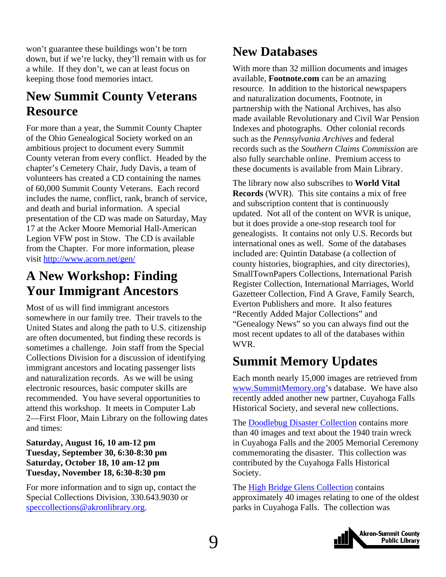<span id="page-8-0"></span>won't guarantee these buildings won't be torn down, but if we're lucky, they'll remain with us for a while. If they don't, we can at least focus on keeping those fond memories intact.

### **New Summit County Veterans Resource**

For more than a year, the Summit County Chapter of the Ohio Genealogical Society worked on an ambitious project to document every Summit County veteran from every conflict. Headed by the chapter's Cemetery Chair, Judy Davis, a team of volunteers has created a CD containing the names of 60,000 Summit County Veterans. Each record includes the name, conflict, rank, branch of service, and death and burial information. A special presentation of the CD was made on Saturday, May 17 at the Acker Moore Memorial Hall-American Legion VFW post in Stow. The CD is available from the Chapter. For more information, please visit <http://www.acorn.net/gen/>

### **A New Workshop: Finding Your Immigrant Ancestors**

Most of us will find immigrant ancestors somewhere in our family tree. Their travels to the United States and along the path to U.S. citizenship are often documented, but finding these records is sometimes a challenge. Join staff from the Special Collections Division for a discussion of identifying immigrant ancestors and locating passenger lists and naturalization records. As we will be using electronic resources, basic computer skills are recommended. You have several opportunities to attend this workshop. It meets in Computer Lab 2—First Floor, Main Library on the following dates and times:

#### **Saturday, August 16, 10 am-12 pm Tuesday, September 30, 6:30-8:30 pm Saturday, October 18, 10 am-12 pm Tuesday, November 18, 6:30-8:30 pm**

For more information and to sign up, contact the Special Collections Division, 330.643.9030 or [speccollections@akronlibrary.org.](mailto:speccollections@akronlibrary.org)

### **New Databases**

With more than 32 million documents and images available, **Footnote.com** can be an amazing resource. In addition to the historical newspapers and naturalization documents, Footnote, in partnership with the National Archives, has also made available Revolutionary and Civil War Pension Indexes and photographs. Other colonial records such as the *Pennsylvania Archives* and federal records such as the *Southern Claims Commission* are also fully searchable online. Premium access to these documents is available from Main Library.

The library now also subscribes to **World Vital Records** (WVR). This site contains a mix of free and subscription content that is continuously updated. Not all of the content on WVR is unique, but it does provide a one-stop research tool for genealogists. It contains not only U.S. Records but international ones as well. Some of the databases included are: Quintin Database (a collection of county histories, biographies, and city directories), SmallTownPapers Collections, International Parish Register Collection, International Marriages, World Gazetteer Collection, Find A Grave, Family Search, Everton Publishers and more. It also features "Recently Added Major Collections" and "Genealogy News" so you can always find out the most recent updates to all of the databases within WVR.

### **Summit Memory Updates**

Each month nearly 15,000 images are retrieved from [www.SummitMemory.org'](http://www.summitmemory.org/)s database. We have also recently added another new partner, Cuyahoga Falls Historical Society, and several new collections.

The [Doodlebug Disaster Collection](http://www.summitmemory.org/cdm4/browse.php) contains more than 40 images and text about the 1940 train wreck in Cuyahoga Falls and the 2005 Memorial Ceremony commemorating the disaster. This collection was contributed by the Cuyahoga Falls Historical Society.

The **High Bridge Glens Collection** contains approximately 40 images relating to one of the oldest parks in Cuyahoga Falls. The collection was

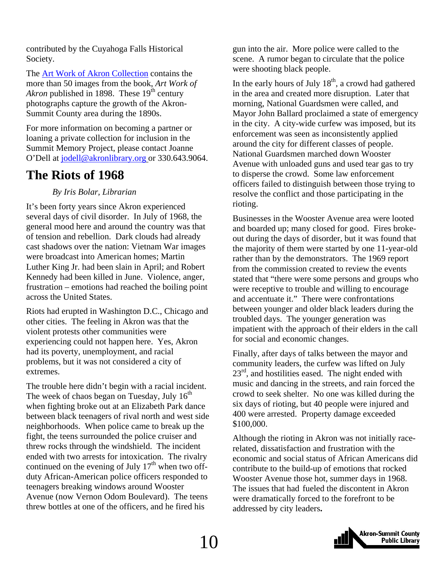<span id="page-9-0"></span>contributed by the Cuyahoga Falls Historical Society.

The [Art Work of Akron Collection](http://www.summitmemory.org/cdm4/browse.php) contains the more than 50 images from the book, *Art Work of Akron* published in 1898. These 19<sup>th</sup> century photographs capture the growth of the Akron-Summit County area during the 1890s.

For more information on becoming a partner or loaning a private collection for inclusion in the Summit Memory Project, please contact Joanne O'Dell at [jodell@akronlibrary.org](mailto:jodell@akronlibrary.org) or 330.643.9064.

### **The Riots of 1968**

#### *By Iris Bolar, Librarian*

It's been forty years since Akron experienced several days of civil disorder. In July of 1968, the general mood here and around the country was that of tension and rebellion. Dark clouds had already cast shadows over the nation: Vietnam War images were broadcast into American homes; Martin Luther King Jr. had been slain in April; and Robert Kennedy had been killed in June. Violence, anger, frustration – emotions had reached the boiling point across the United States.

Riots had erupted in Washington D.C., Chicago and other cities. The feeling in Akron was that the violent protests other communities were experiencing could not happen here. Yes, Akron had its poverty, unemployment, and racial problems, but it was not considered a city of extremes.

The trouble here didn't begin with a racial incident. The week of chaos began on Tuesday, July  $16<sup>th</sup>$ when fighting broke out at an Elizabeth Park dance between black teenagers of rival north and west side neighborhoods. When police came to break up the fight, the teens surrounded the police cruiser and threw rocks through the windshield. The incident ended with two arrests for intoxication. The rivalry continued on the evening of July  $17<sup>th</sup>$  when two offduty African-American police officers responded to teenagers breaking windows around Wooster Avenue (now Vernon Odom Boulevard). The teens threw bottles at one of the officers, and he fired his

gun into the air. More police were called to the scene. A rumor began to circulate that the police were shooting black people.

In the early hours of July  $18<sup>th</sup>$ , a crowd had gathered in the area and created more disruption. Later that morning, National Guardsmen were called, and Mayor John Ballard proclaimed a state of emergency in the city. A city-wide curfew was imposed, but its enforcement was seen as inconsistently applied around the city for different classes of people. National Guardsmen marched down Wooster Avenue with unloaded guns and used tear gas to try to disperse the crowd. Some law enforcement officers failed to distinguish between those trying to resolve the conflict and those participating in the rioting.

Businesses in the Wooster Avenue area were looted and boarded up; many closed for good. Fires brokeout during the days of disorder, but it was found that the majority of them were started by one 11-year-old rather than by the demonstrators. The 1969 report from the commission created to review the events stated that "there were some persons and groups who were receptive to trouble and willing to encourage and accentuate it." There were confrontations between younger and older black leaders during the troubled days. The younger generation was impatient with the approach of their elders in the call for social and economic changes.

Finally, after days of talks between the mayor and community leaders, the curfew was lifted on July  $23<sup>rd</sup>$ , and hostilities eased. The night ended with music and dancing in the streets, and rain forced the crowd to seek shelter. No one was killed during the six days of rioting, but 40 people were injured and 400 were arrested. Property damage exceeded \$100,000.

Although the rioting in Akron was not initially racerelated, dissatisfaction and frustration with the economic and social status of African Americans did contribute to the build-up of emotions that rocked Wooster Avenue those hot, summer days in 1968. The issues that had fueled the discontent in Akron were dramatically forced to the forefront to be addressed by city leaders**.**

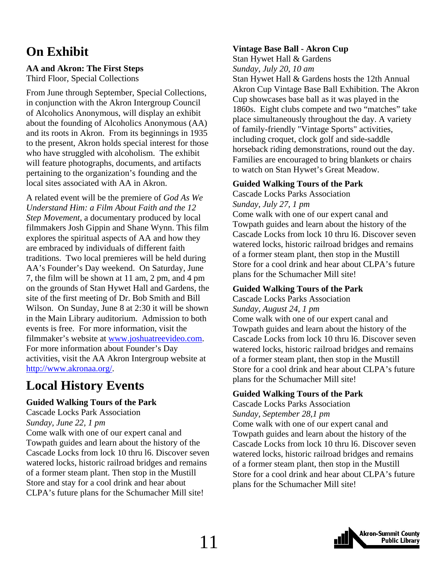### <span id="page-10-0"></span>**On Exhibit**

### **AA and Akron: The First Steps**

Third Floor, Special Collections

From June through September, Special Collections, in conjunction with the Akron Intergroup Council of Alcoholics Anonymous, will display an exhibit about the founding of Alcoholics Anonymous (AA) and its roots in Akron. From its beginnings in 1935 to the present, Akron holds special interest for those who have struggled with alcoholism. The exhibit will feature photographs, documents, and artifacts pertaining to the organization's founding and the local sites associated with AA in Akron.

A related event will be the premiere of *God As We Understand Him: a Film About Faith and the 12 Step Movement,* a documentary produced by local filmmakers Josh Gippin and Shane Wynn. This film explores the spiritual aspects of AA and how they are embraced by individuals of different faith traditions. Two local premieres will be held during AA's Founder's Day weekend. On Saturday, June 7, the film will be shown at 11 am, 2 pm, and 4 pm on the grounds of Stan Hywet Hall and Gardens, the site of the first meeting of Dr. Bob Smith and Bill Wilson. On Sunday, June 8 at 2:30 it will be shown in the Main Library auditorium. Admission to both events is free. For more information, visit the filmmaker's website at [www.joshuatreevideo.com](http://www.joshuatreevideo.com/). For more information about Founder's Day activities, visit the AA Akron Intergroup website at [http://www.akronaa.org/.](http://www.akronaa.org/)

### **Local History Events**

#### **Guided Walking Tours of the Park**

Cascade Locks Park Association *Sunday, June 22, 1 pm*  Come walk with one of our expert canal and Towpath guides and learn about the history of the Cascade Locks from lock 10 thru l6. Discover seven watered locks, historic railroad bridges and remains of a former steam plant. Then stop in the Mustill Store and stay for a cool drink and hear about CLPA's future plans for the Schumacher Mill site!

#### **Vintage Base Ball - Akron Cup**

Stan Hywet Hall & Gardens

*Sunday, July 20, 10 am* 

Stan Hywet Hall & Gardens hosts the 12th Annual Akron Cup Vintage Base Ball Exhibition. The Akron Cup showcases base ball as it was played in the 1860s.Eight clubs compete and two "matches" take place simultaneously throughout the day. A variety of family-friendly "Vintage Sports" activities, including croquet, clock golf and side-saddle horseback riding demonstrations, round out the day. Families are encouraged to bring blankets or chairs to watch on Stan Hywet's Great Meadow.

#### **Guided Walking Tours of the Park**

Cascade Locks Parks Association

*Sunday, July 27, 1 pm* 

Come walk with one of our expert canal and Towpath guides and learn about the history of the Cascade Locks from lock 10 thru l6. Discover seven watered locks, historic railroad bridges and remains of a former steam plant, then stop in the Mustill Store for a cool drink and hear about CLPA's future plans for the Schumacher Mill site!

#### **Guided Walking Tours of the Park**

Cascade Locks Parks Association

*Sunday, August 24, 1 pm*  Come walk with one of our expert canal and Towpath guides and learn about the history of the Cascade Locks from lock 10 thru l6. Discover seven watered locks, historic railroad bridges and remains of a former steam plant, then stop in the Mustill Store for a cool drink and hear about CLPA's future plans for the Schumacher Mill site!

#### **Guided Walking Tours of the Park**

Cascade Locks Parks Association *Sunday, September 28,1 pm*  Come walk with one of our expert canal and Towpath guides and learn about the history of the Cascade Locks from lock 10 thru l6. Discover seven watered locks, historic railroad bridges and remains of a former steam plant, then stop in the Mustill Store for a cool drink and hear about CLPA's future plans for the Schumacher Mill site!

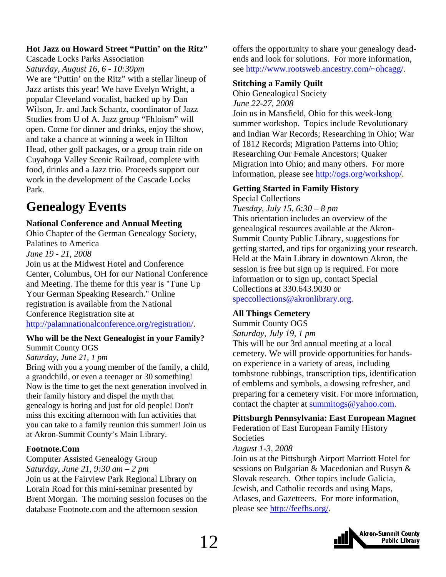#### **Hot Jazz on Howard Street "Puttin' on the Ritz"**

Cascade Locks Parks Association

*Saturday, August 16, 6 - 10:30pm*  We are "Puttin' on the Ritz" with a stellar lineup of Jazz artists this year! We have Evelyn Wright, a popular Cleveland vocalist, backed up by Dan Wilson, Jr. and Jack Schantz, coordinator of Jazz Studies from U of A. Jazz group "Fhloism" will open. Come for dinner and drinks, enjoy the show, and take a chance at winning a week in Hilton Head, other golf packages, or a group train ride on Cuyahoga Valley Scenic Railroad, complete with food, drinks and a Jazz trio. Proceeds support our work in the development of the Cascade Locks Park.

### **Genealogy Events**

#### **National Conference and Annual Meeting**

Ohio Chapter of the German Genealogy Society, Palatines to America *June 19 - 21, 2008*  Join us at the Midwest Hotel and Conference Center, Columbus, OH for our National Conference and Meeting. The theme for this year is "Tune Up Your German Speaking Research." Online registration is available from the National Conference Registration site at [http://palamnationalconference.org/registration/.](http://palamnationalconference.org/registration/)

#### **Who will be the Next Genealogist in your Family?**

#### Summit County OGS

#### *Saturday, June 21, 1 pm*

Bring with you a young member of the family, a child, a grandchild, or even a teenager or 30 something! Now is the time to get the next generation involved in their family history and dispel the myth that genealogy is boring and just for old people! Don't miss this exciting afternoon with fun activities that you can take to a family reunion this summer! Join us at Akron-Summit County's Main Library.

#### **Footnote.Com**

Computer Assisted Genealogy Group *Saturday, June 21, 9:30 am – 2 pm*  Join us at the Fairview Park Regional Library on Lorain Road for this mini-seminar presented by Brent Morgan. The morning session focuses on the database Footnote.com and the afternoon session

offers the opportunity to share your genealogy deadends and look for solutions. For more information, see [http://www.rootsweb.ancestry.com/~ohcagg/.](http://www.rootsweb.ancestry.com/%7Eohcagg/)

#### **Stitching a Family Quilt**

Ohio Genealogical Society *June 22-27, 2008* 

Join us in Mansfield, Ohio for this week-long summer workshop. Topics include Revolutionary and Indian War Records; Researching in Ohio; War of 1812 Records; Migration Patterns into Ohio; Researching Our Female Ancestors; Quaker Migration into Ohio; and many others. For more information, please see [http://ogs.org/workshop/.](http://ogs.org/workshop/)

### **Getting Started in Family History**

Special Collections

*Tuesday, July 15, 6:30 – 8 pm*  This orientation includes an overview of the genealogical resources available at the Akron-Summit County Public Library, suggestions for getting started, and tips for organizing your research. Held at the Main Library in downtown Akron, the session is free but sign up is required. For more information or to sign up, contact Special Collections at 330.643.9030 or [speccollections@akronlibrary.org](mailto:speccollections@akronlibrary.org).

#### **All Things Cemetery**

Summit County OGS

*Saturday, July 19, 1 pm* 

This will be our 3rd annual meeting at a local cemetery*.* We will provide opportunities for handson experience in a variety of areas, including tombstone rubbings, transcription tips, identification of emblems and symbols, a dowsing refresher, and preparing for a cemetery visit. For more information, contact the chapter at [summitogs@yahoo.com.](mailto:summitogs.yahoo.com)

#### **Pittsburgh Pennsylvania: East European Magnet**

Federation of East European Family History Societies

#### *August 1-3, 2008*

Join us at the Pittsburgh Airport Marriott Hotel for sessions on Bulgarian & Macedonian and Rusyn & Slovak research. Other topics include Galicia, Jewish, and Catholic records and using Maps, Atlases, and Gazetteers. For more information, please see <http://feefhs.org/>.



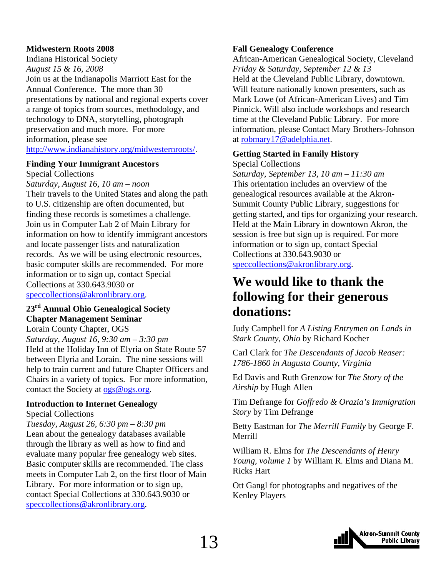#### <span id="page-12-0"></span>**Midwestern Roots 2008**

Indiana Historical Society *August 15 & 16, 2008*  Join us at the Indianapolis Marriott East for the Annual Conference. The more than 30 presentations by national and regional experts cover a range of topics from sources, methodology, and technology to DNA, storytelling, photograph preservation and much more. For more information, please see [http://www.indianahistory.org/midwesternroots/.](http://www.indianahistory.org/midwesternroots/)

#### **Finding Your Immigrant Ancestors**

Special Collections

*Saturday, August 16, 10 am – noon*  Their travels to the United States and along the path to U.S. citizenship are often documented, but finding these records is sometimes a challenge. Join us in Computer Lab 2 of Main Library for information on how to identify immigrant ancestors and locate passenger lists and naturalization records. As we will be using electronic resources, basic computer skills are recommended. For more information or to sign up, contact Special Collections at 330.643.9030 or [speccollections@akronlibrary.org.](mailto:speccollections@akronlibrary.org)

#### **23rd Annual Ohio Genealogical Society Chapter Management Seminar**

Lorain County Chapter, OGS *Saturday, August 16, 9:30 am – 3:30 pm*  Held at the Holiday Inn of Elyria on State Route 57 between Elyria and Lorain. The nine sessions will help to train current and future Chapter Officers and Chairs in a variety of topics. For more information, contact the Society at [ogs@ogs.org](mailto:ogs@ogs.org).

#### **Introduction to Internet Genealogy**

Special Collections

*Tuesday, August 26, 6:30 pm – 8:30 pm*  Lean about the genealogy databases available through the library as well as how to find and evaluate many popular free genealogy web sites. Basic computer skills are recommended. The class meets in Computer Lab 2, on the first floor of Main Library. For more information or to sign up, contact Special Collections at 330.643.9030 or [speccollections@akronlibrary.org.](mailto:speccollections@akronlibrary.org)

#### **Fall Genealogy Conference**

African-American Genealogical Society, Cleveland *Friday & Saturday, September 12 & 13*  Held at the Cleveland Public Library, downtown. Will feature nationally known presenters, such as Mark Lowe (of African-American Lives) and Tim Pinnick. Will also include workshops and research time at the Cleveland Public Library. For more information, please Contact Mary Brothers-Johnson at [robmary17@adelphia.net](mailto:robmary17@adelphia.net).

#### **Getting Started in Family History**  Special Collections

*Saturday, September 13, 10 am – 11:30 am*  This orientation includes an overview of the genealogical resources available at the Akron-Summit County Public Library, suggestions for getting started, and tips for organizing your research. Held at the Main Library in downtown Akron, the session is free but sign up is required. For more information or to sign up, contact Special Collections at 330.643.9030 or [speccollections@akronlibrary.org](mailto:speccollections@akronlibrary.org).

### **We would like to thank the following for their generous donations:**

Judy Campbell for *A Listing Entrymen on Lands in Stark County, Ohio* by Richard Kocher

Carl Clark for *The Descendants of Jacob Reaser: 1786-1860 in Augusta County, Virginia* 

Ed Davis and Ruth Grenzow for *The Story of the Airship* by Hugh Allen

Tim Defrange for *Goffredo & Orazia's Immigration Story* by Tim Defrange

Betty Eastman for *The Merrill Family* by George F. Merrill

William R. Elms for *The Descendants of Henry Young, volume 1* by William R. Elms and Diana M. Ricks Hart

Ott Gangl for photographs and negatives of the Kenley Players

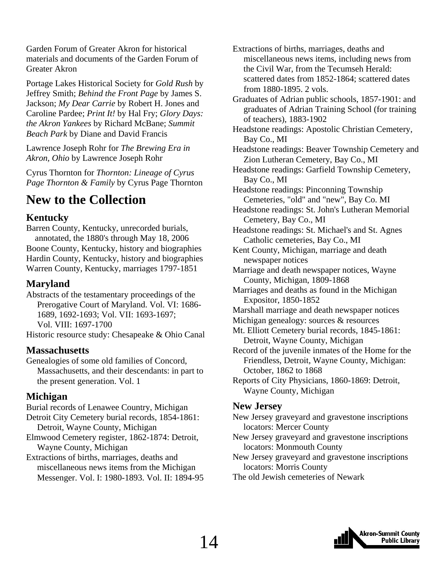<span id="page-13-0"></span>Garden Forum of Greater Akron for historical materials and documents of the Garden Forum of Greater Akron

Portage Lakes Historical Society for *Gold Rush* by Jeffrey Smith; *Behind the Front Page* by James S. Jackson; *My Dear Carrie* by Robert H. Jones and Caroline Pardee; *Print It!* by Hal Fry; *Glory Days: the Akron Yankees* by Richard McBane; *Summit Beach Park* by Diane and David Francis

Lawrence Joseph Rohr for *The Brewing Era in Akron, Ohio* by Lawrence Joseph Rohr

Cyrus Thornton for *Thornton: Lineage of Cyrus Page Thornton & Family* by Cyrus Page Thornton

### **New to the Collection**

#### **Kentucky**

Barren County, Kentucky, unrecorded burials, annotated, the 1880's through May 18, 2006 Boone County, Kentucky, history and biographies Hardin County, Kentucky, history and biographies Warren County, Kentucky, marriages 1797-1851

#### **Maryland**

Abstracts of the testamentary proceedings of the Prerogative Court of Maryland. Vol. VI: 1686- 1689, 1692-1693; Vol. VII: 1693-1697; Vol. VIII: 1697-1700

Historic resource study: Chesapeake & Ohio Canal

#### **Massachusetts**

Genealogies of some old families of Concord, Massachusetts, and their descendants: in part to the present generation. Vol. 1

#### **Michigan**

Burial records of Lenawee Country, Michigan Detroit City Cemetery burial records, 1854-1861: Detroit, Wayne County, Michigan

Elmwood Cemetery register, 1862-1874: Detroit, Wayne County, Michigan

Extractions of births, marriages, deaths and miscellaneous news items from the Michigan Messenger. Vol. I: 1980-1893. Vol. II: 1894-95 Extractions of births, marriages, deaths and miscellaneous news items, including news from the Civil War, from the Tecumseh Herald: scattered dates from 1852-1864; scattered dates from 1880-1895. 2 vols.

Graduates of Adrian public schools, 1857-1901: and graduates of Adrian Training School (for training of teachers), 1883-1902

Headstone readings: Apostolic Christian Cemetery, Bay Co., MI

Headstone readings: Beaver Township Cemetery and Zion Lutheran Cemetery, Bay Co., MI

Headstone readings: Garfield Township Cemetery, Bay Co., MI

Headstone readings: Pinconning Township Cemeteries, "old" and "new", Bay Co. MI

Headstone readings: St. John's Lutheran Memorial Cemetery, Bay Co., MI

Headstone readings: St. Michael's and St. Agnes Catholic cemeteries, Bay Co., MI

Kent County, Michigan, marriage and death newspaper notices

Marriage and death newspaper notices, Wayne County, Michigan, 1809-1868

Marriages and deaths as found in the Michigan Expositor, 1850-1852

Marshall marriage and death newspaper notices

Michigan genealogy: sources & resources

Mt. Elliott Cemetery burial records, 1845-1861: Detroit, Wayne County, Michigan

Record of the juvenile inmates of the Home for the Friendless, Detroit, Wayne County, Michigan: October, 1862 to 1868

Reports of City Physicians, 1860-1869: Detroit, Wayne County, Michigan

#### **New Jersey**

New Jersey graveyard and gravestone inscriptions locators: Mercer County

New Jersey graveyard and gravestone inscriptions locators: Monmouth County

New Jersey graveyard and gravestone inscriptions locators: Morris County

The old Jewish cemeteries of Newark

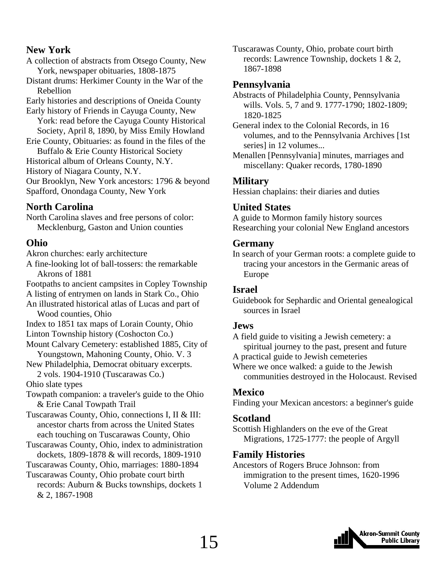#### **New York**

A collection of abstracts from Otsego County, New York, newspaper obituaries, 1808-1875

Distant drums: Herkimer County in the War of the Rebellion

Early histories and descriptions of Oneida County Early history of Friends in Cayuga County, New

 York: read before the Cayuga County Historical Society, April 8, 1890, by Miss Emily Howland

Erie County, Obituaries: as found in the files of the

 Buffalo & Erie County Historical Society Historical album of Orleans County, N.Y.

History of Niagara County, N.Y.

Our Brooklyn, New York ancestors: 1796 & beyond Spafford, Onondaga County, New York

#### **North Carolina**

North Carolina slaves and free persons of color: Mecklenburg, Gaston and Union counties

#### **Ohio**

Akron churches: early architecture

A fine-looking lot of ball-tossers: the remarkable Akrons of 1881

Footpaths to ancient campsites in Copley Township

A listing of entrymen on lands in Stark Co., Ohio An illustrated historical atlas of Lucas and part of Wood counties, Ohio

Index to 1851 tax maps of Lorain County, Ohio

Linton Township history (Coshocton Co.)

- Mount Calvary Cemetery: established 1885, City of Youngstown, Mahoning County, Ohio. V. 3
- New Philadelphia, Democrat obituary excerpts. 2 vols. 1904-1910 (Tuscarawas Co.)

Ohio slate types

Towpath companion: a traveler's guide to the Ohio & Erie Canal Towpath Trail

- Tuscarawas County, Ohio, connections I, II & III: ancestor charts from across the United States each touching on Tuscarawas County, Ohio
- Tuscarawas County, Ohio, index to administration dockets, 1809-1878 & will records, 1809-1910
- Tuscarawas County, Ohio, marriages: 1880-1894 Tuscarawas County, Ohio probate court birth
- records: Auburn & Bucks townships, dockets 1 & 2, 1867-1908

Tuscarawas County, Ohio, probate court birth records: Lawrence Township, dockets 1 & 2, 1867-1898

#### **Pennsylvania**

Abstracts of Philadelphia County, Pennsylvania wills. Vols. 5, 7 and 9. 1777-1790; 1802-1809; 1820-1825

General index to the Colonial Records, in 16 volumes, and to the Pennsylvania Archives [1st series] in 12 volumes...

Menallen [Pennsylvania] minutes, marriages and miscellany: Quaker records, 1780-1890

#### **Military**

Hessian chaplains: their diaries and duties

#### **United States**

A guide to Mormon family history sources Researching your colonial New England ancestors

#### **Germany**

In search of your German roots: a complete guide to tracing your ancestors in the Germanic areas of Europe

#### **Israel**

Guidebook for Sephardic and Oriental genealogical sources in Israel

#### **Jews**

A field guide to visiting a Jewish cemetery: a spiritual journey to the past, present and future

A practical guide to Jewish cemeteries Where we once walked: a guide to the Jewish communities destroyed in the Holocaust. Revised

#### **Mexico**

Finding your Mexican ancestors: a beginner's guide

#### **Scotland**

Scottish Highlanders on the eve of the Great Migrations, 1725-1777: the people of Argyll

#### **Family Histories**

Ancestors of Rogers Bruce Johnson: from immigration to the present times, 1620-1996 Volume 2 Addendum